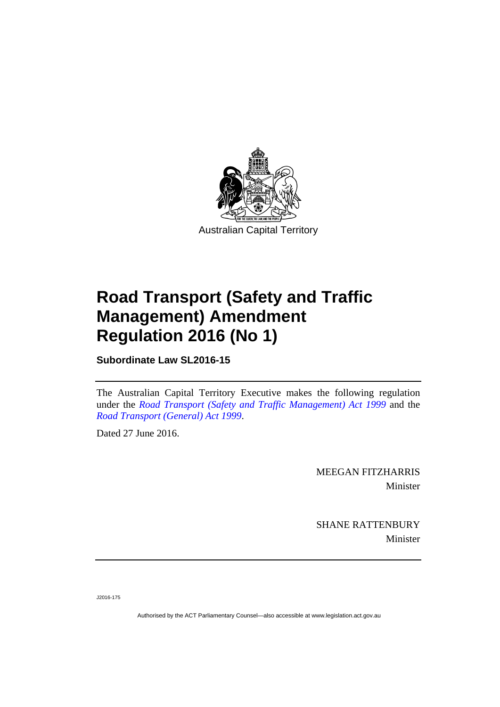

# **Road Transport (Safety and Traffic Management) Amendment Regulation 2016 (No 1)**

**Subordinate Law SL2016-15** 

The Australian Capital Territory Executive makes the following regulation under the *[Road Transport \(Safety and Traffic Management\) Act 1999](http://www.legislation.act.gov.au/a/1999-80)* and the *[Road Transport \(General\) Act 1999](http://www.legislation.act.gov.au/a/1999-77)*.

Dated 27 June 2016.

MEEGAN FITZHARRIS Minister

SHANE RATTENBURY Minister

J2016-175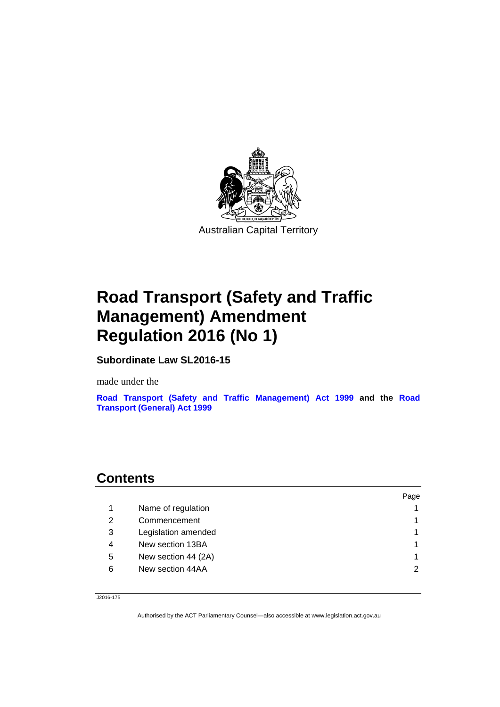

## **Road Transport (Safety and Traffic Management) Amendment Regulation 2016 (No 1)**

**Subordinate Law SL2016-15** 

made under the

**[Road Transport \(Safety and Traffic Management\) Act 1999](http://www.legislation.act.gov.au/a/1999-80) and the [Road](http://www.legislation.act.gov.au/a/1999-77/default.asp)  [Transport \(General\) Act 1999](http://www.legislation.act.gov.au/a/1999-77/default.asp)**

## **Contents**

|   |                     | Page |
|---|---------------------|------|
|   | Name of regulation  |      |
| 2 | Commencement        |      |
| 3 | Legislation amended |      |
| 4 | New section 13BA    |      |
| 5 | New section 44 (2A) |      |
| 6 | New section 44AA    | ◠    |
|   |                     |      |

J2016-175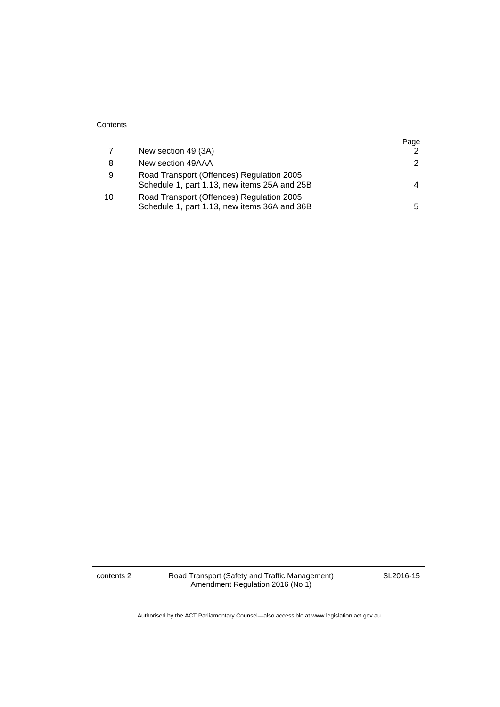|    | New section 49 (3A)                                                                       | Page |
|----|-------------------------------------------------------------------------------------------|------|
| 8  | New section 49AAA                                                                         |      |
| 9  | Road Transport (Offences) Regulation 2005<br>Schedule 1, part 1.13, new items 25A and 25B |      |
| 10 | Road Transport (Offences) Regulation 2005<br>Schedule 1, part 1.13, new items 36A and 36B | 5.   |

**Contents** 

contents 2 Road Transport (Safety and Traffic Management) Amendment Regulation 2016 (No 1)

SL2016-15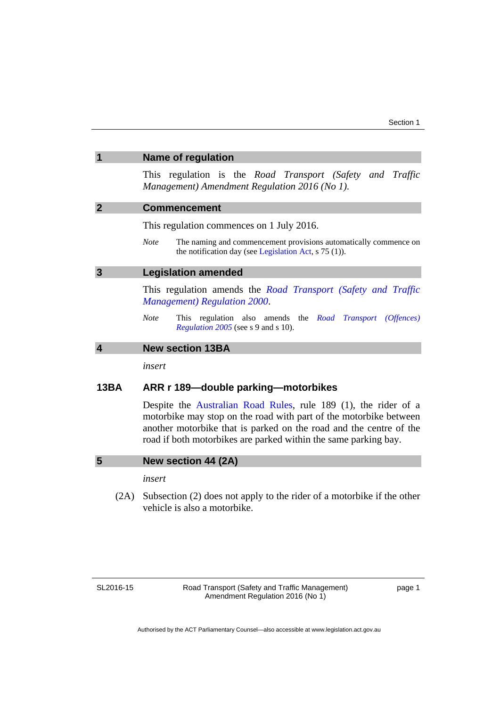<span id="page-4-2"></span><span id="page-4-1"></span><span id="page-4-0"></span>

| 1                       | <b>Name of regulation</b>                                                                                                                                                                                                                                                     |  |
|-------------------------|-------------------------------------------------------------------------------------------------------------------------------------------------------------------------------------------------------------------------------------------------------------------------------|--|
|                         | This regulation is the Road Transport (Safety and Traffic<br>Management) Amendment Regulation 2016 (No 1).                                                                                                                                                                    |  |
| $\overline{2}$          | <b>Commencement</b>                                                                                                                                                                                                                                                           |  |
|                         | This regulation commences on 1 July 2016.                                                                                                                                                                                                                                     |  |
|                         | <b>Note</b><br>The naming and commencement provisions automatically commence on<br>the notification day (see Legislation Act, $s$ 75 (1)).                                                                                                                                    |  |
| $\overline{3}$          | <b>Legislation amended</b>                                                                                                                                                                                                                                                    |  |
|                         | This regulation amends the Road Transport (Safety and Traffic<br><b>Management</b> ) Regulation 2000.                                                                                                                                                                         |  |
|                         | <b>Note</b><br>This regulation also amends the <i>Road Transport (Offences)</i><br>Regulation 2005 (see s 9 and s 10).                                                                                                                                                        |  |
| $\overline{\mathbf{4}}$ | <b>New section 13BA</b>                                                                                                                                                                                                                                                       |  |
|                         | insert                                                                                                                                                                                                                                                                        |  |
| 13BA                    | ARR r 189-double parking-motorbikes                                                                                                                                                                                                                                           |  |
|                         | Despite the Australian Road Rules, rule 189 (1), the rider of a<br>motorbike may stop on the road with part of the motorbike between<br>another motorbike that is parked on the road and the centre of the<br>road if both motorbikes are parked within the same parking bay. |  |
| 5                       | New section 44 (2A)                                                                                                                                                                                                                                                           |  |
|                         | insert                                                                                                                                                                                                                                                                        |  |
| (2A)                    | Subsection (2) does not apply to the rider of a motorbike if the other                                                                                                                                                                                                        |  |

SL2016-15

<span id="page-4-4"></span><span id="page-4-3"></span>vehicle is also a motorbike.

page 1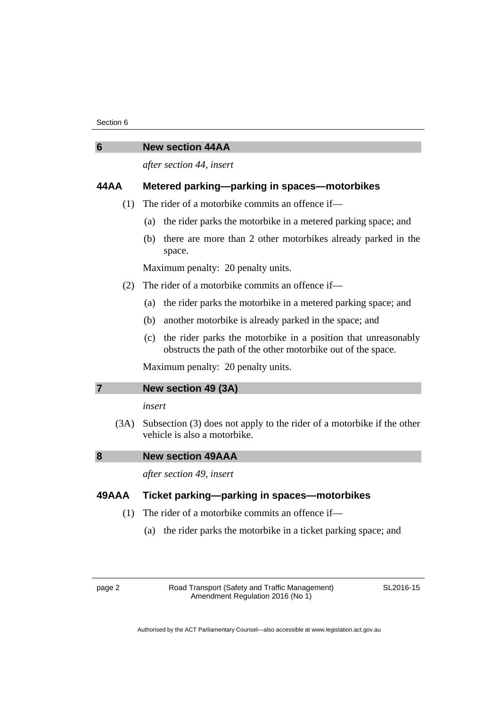#### Section 6

<span id="page-5-0"></span>

| υ    | <b>INGW SCULIUII 44MM</b>                                                     |  |  |
|------|-------------------------------------------------------------------------------|--|--|
|      | after section 44, insert                                                      |  |  |
| 44AA | Metered parking-parking in spaces-motorbikes                                  |  |  |
| (1)  | The rider of a motorbike commits an offence if—                               |  |  |
|      | the rider parks the motorbike in a metered parking space; and<br>(a)          |  |  |
|      | there are more than 2 other motorbikes already parked in the<br>(b)<br>space. |  |  |

Maximum penalty: 20 penalty units.

- (2) The rider of a motorbike commits an offence if—
	- (a) the rider parks the motorbike in a metered parking space; and
	- (b) another motorbike is already parked in the space; and
	- (c) the rider parks the motorbike in a position that unreasonably obstructs the path of the other motorbike out of the space.

Maximum penalty: 20 penalty units.

#### <span id="page-5-1"></span>**7 New section 49 (3A)**

**6 New section 44AA** 

#### *insert*

 (3A) Subsection (3) does not apply to the rider of a motorbike if the other vehicle is also a motorbike.

<span id="page-5-2"></span>**8 New section 49AAA** 

*after section 49, insert* 

### **49AAA Ticket parking—parking in spaces—motorbikes**

- (1) The rider of a motorbike commits an offence if—
	- (a) the rider parks the motorbike in a ticket parking space; and

page 2 Road Transport (Safety and Traffic Management) Amendment Regulation 2016 (No 1)

SL2016-15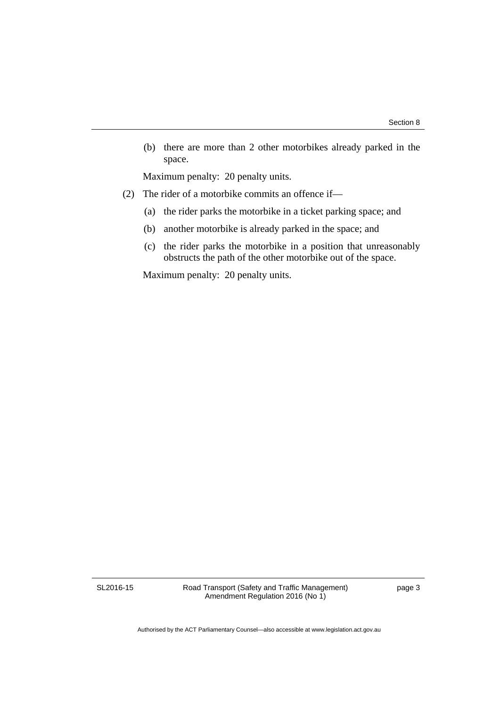(b) there are more than 2 other motorbikes already parked in the space.

Maximum penalty: 20 penalty units.

- (2) The rider of a motorbike commits an offence if—
	- (a) the rider parks the motorbike in a ticket parking space; and
	- (b) another motorbike is already parked in the space; and
	- (c) the rider parks the motorbike in a position that unreasonably obstructs the path of the other motorbike out of the space.

Maximum penalty: 20 penalty units.

SL2016-15

Road Transport (Safety and Traffic Management) Amendment Regulation 2016 (No 1)

page 3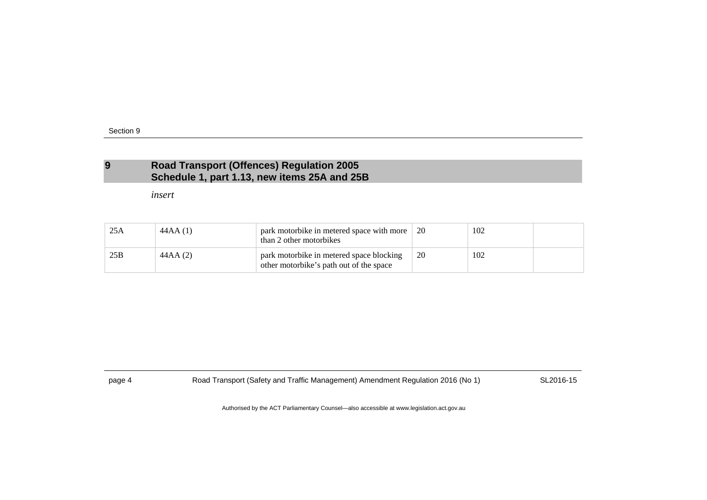### **9 Road Transport (Offences) Regulation 2005 Schedule 1, part 1.13, new items 25A and 25B**

*insert* 

| 25A | 44AA (1) | park motorbike in metered space with more<br>than 2 other motorbikes                | 20 | 102 |  |
|-----|----------|-------------------------------------------------------------------------------------|----|-----|--|
| 25B | 44AA (2) | park motorbike in metered space blocking<br>other motorbike's path out of the space | 20 | 102 |  |

<span id="page-7-0"></span>

page 4 Road Transport (Safety and Traffic Management) Amendment Regulation 2016 (No 1) SL2016-15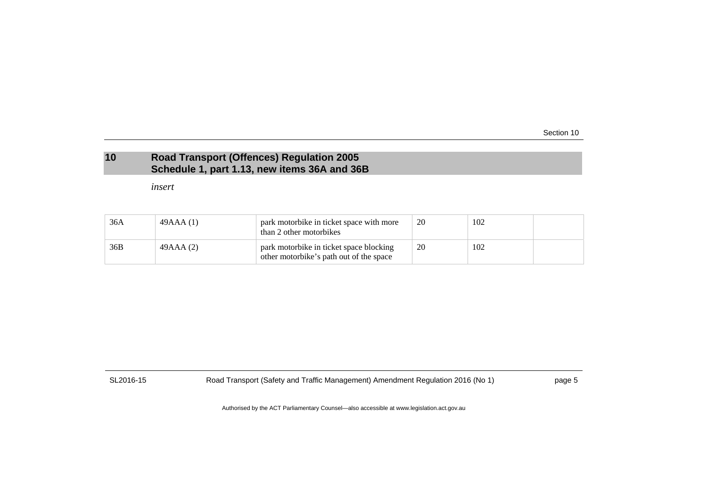Section 10

## **10 Road Transport (Offences) Regulation 2005 Schedule 1, part 1.13, new items 36A and 36B**

*insert* 

| 36A | 49AAA (1) | park motorbike in ticket space with more<br>than 2 other motorbikes                | 20 | 102 |  |
|-----|-----------|------------------------------------------------------------------------------------|----|-----|--|
| 36B | 49AAA (2) | park motorbike in ticket space blocking<br>other motorbike's path out of the space | 20 | 102 |  |

<span id="page-8-0"></span>

SL2016-15 Road Transport (Safety and Traffic Management) Amendment Regulation 2016 (No 1) page 5